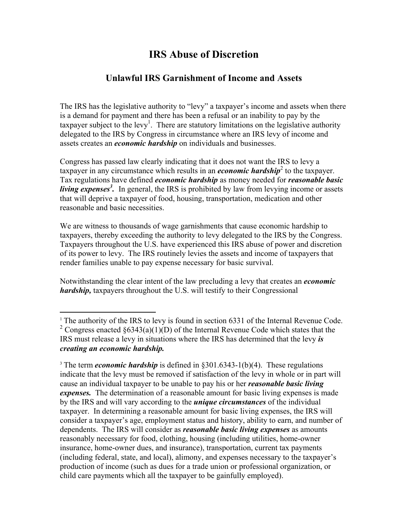## **IRS Abuse of Discretion**

## **Unlawful IRS Garnishment of Income and Assets**

The IRS has the legislative authority to "levy" a taxpayer's income and assets when there is a demand for payment and there has been a refusal or an inability to pay by the taxpayer subject to the levy<sup>[1](#page-0-0)</sup>. There are statutory limitations on the legislative authority delegated to the IRS by Congress in circumstance where an IRS levy of income and assets creates an *economic hardship* on individuals and businesses.

Congress has passed law clearly indicating that it does not want the IRS to levy a taxpayer in any circumstance which results in an *economic hardship*<sup>[2](#page-0-1)</sup> to the taxpayer. Tax regulations have defined *economic hardship* as money needed for *reasonable basic living expenses<sup>3</sup>*. In general, the IRS is prohibited by law from levying income or assets that will deprive a taxpayer of food, housing, transportation, medication and other reasonable and basic necessities.

We are witness to thousands of wage garnishments that cause economic hardship to taxpayers, thereby exceeding the authority to levy delegated to the IRS by the Congress. Taxpayers throughout the U.S. have experienced this IRS abuse of power and discretion of its power to levy. The IRS routinely levies the assets and income of taxpayers that render families unable to pay expense necessary for basic survival.

Notwithstanding the clear intent of the law precluding a levy that creates an *economic hardship,* taxpayers throughout the U.S. will testify to their Congressional

1

<span id="page-0-1"></span><span id="page-0-0"></span><sup>&</sup>lt;sup>1</sup> The authority of the IRS to levy is found in section 6331 of the Internal Revenue Code. <sup>2</sup> Congress enacted §6343(a)(1)(D) of the Internal Revenue Code which states that the IRS must release a levy in situations where the IRS has determined that the levy *is creating an economic hardship.* 

<span id="page-0-2"></span><sup>&</sup>lt;sup>3</sup> The term *economic hardship* is defined in §301.6343-1(b)(4). These regulations indicate that the levy must be removed if satisfaction of the levy in whole or in part will cause an individual taxpayer to be unable to pay his or her *reasonable basic living expenses.* The determination of a reasonable amount for basic living expenses is made by the IRS and will vary according to the *unique circumstances* of the individual taxpayer. In determining a reasonable amount for basic living expenses, the IRS will consider a taxpayer's age, employment status and history, ability to earn, and number of dependents. The IRS will consider as *reasonable basic living expenses* as amounts reasonably necessary for food, clothing, housing (including utilities, home-owner insurance, home-owner dues, and insurance), transportation, current tax payments (including federal, state, and local), alimony, and expenses necessary to the taxpayer's production of income (such as dues for a trade union or professional organization, or child care payments which all the taxpayer to be gainfully employed).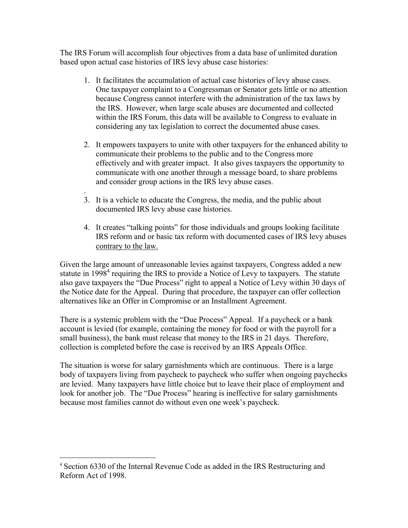The IRS Forum will accomplish four objectives from a data base of unlimited duration based upon actual case histories of IRS levy abuse case histories:

- 1. It facilitates the accumulation of actual case histories of levy abuse cases. One taxpayer complaint to a Congressman or Senator gets little or no attention because Congress cannot interfere with the administration of the tax laws by the IRS. However, when large scale abuses are documented and collected within the IRS Forum, this data will be available to Congress to evaluate in considering any tax legislation to correct the documented abuse cases.
- 2. It empowers taxpayers to unite with other taxpayers for the enhanced ability to communicate their problems to the public and to the Congress more effectively and with greater impact. It also gives taxpayers the opportunity to communicate with one another through a message board, to share problems and consider group actions in the IRS levy abuse cases.
- . 3. It is a vehicle to educate the Congress, the media, and the public about documented IRS levy abuse case histories.
- 4. It creates "talking points" for those individuals and groups looking facilitate IRS reform and or basic tax reform with documented cases of IRS levy abuses contrary to the law.

Given the large amount of unreasonable levies against taxpayers, Congress added a new statute in  $1998<sup>4</sup>$  $1998<sup>4</sup>$  $1998<sup>4</sup>$  requiring the IRS to provide a Notice of Levy to taxpayers. The statute also gave taxpayers the "Due Process" right to appeal a Notice of Levy within 30 days of the Notice date for the Appeal. During that procedure, the taxpayer can offer collection alternatives like an Offer in Compromise or an Installment Agreement.

There is a systemic problem with the "Due Process" Appeal. If a paycheck or a bank account is levied (for example, containing the money for food or with the payroll for a small business), the bank must release that money to the IRS in 21 days. Therefore, collection is completed before the case is received by an IRS Appeals Office.

The situation is worse for salary garnishments which are continuous. There is a large body of taxpayers living from paycheck to paycheck who suffer when ongoing paychecks are levied. Many taxpayers have little choice but to leave their place of employment and look for another job. The "Due Process" hearing is ineffective for salary garnishments because most families cannot do without even one week's paycheck.

 $\overline{a}$ 

<span id="page-1-0"></span><sup>4</sup> Section 6330 of the Internal Revenue Code as added in the IRS Restructuring and Reform Act of 1998.